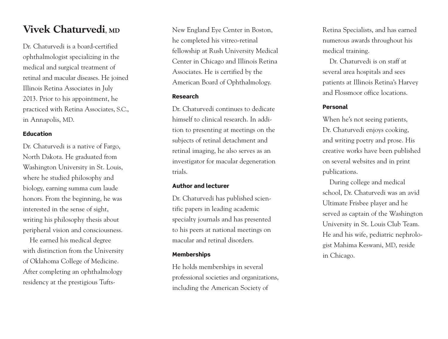## $V$ **ivek Chaturvedi**, MD

Dr. Chaturvedi is a board-certified ophthalmologist specializing in the medical and surgical treatment of retinal and macular diseases. He joined Illinois Retina Associates in July 2013. Prior to his appointment, he practiced with Retina Associates, S.C., in Annapolis, MD.

## **E d u c a t i o n**

Dr. Chaturvedi is a native of Fargo, North Dakota. He graduated from Washington University in St. Louis, where he studied philosophy and biology, earning summa cum laude honors. From the beginning, he was interested in the sense of sight, writing his philosophy thesis about peripheral vision and consciousness.

He earned his medical degree with distinction from the University of Oklahoma College of Medicine. After completing an ophthalmology residency at the prestigious TuftsNew England Eye Center in Boston, he completed his vitreo-retinal fellowship at Rush University Medical Center in Chicago and Illinois Retina Associates. He is certified by the American Board of Ophthalmology.

## **R e s e a r c h**

Dr. Chaturvedi continues to dedicate himself to clinical research. In addition to presenting at meetings on the subjects of retinal detachment and retinal imaging, he also serves as an investigator for macular degeneration trials.

#### **Author and lecturer**

Dr. Chaturvedi has published scientific papers in leading academic specialty journals and has presented to his peers at national meetings on macular and retinal disorders.

### **M e m b e r s h i p s**

He holds memberships in several professional societies and organizations, including the American Society of

Retina Specialists, and has earned numerous awards throughout his medical training.

Dr. Chaturvedi is on staff at several area hospitals and sees patients at Illinois Retina's Harvey and Flossmoor office locations.

#### **P e r s o n a l**

When he's not seeing patients, Dr. Chaturvedi eniovs cooking. and writing poetry and prose. His creative works have been published on several websites and in print publications.

During college and medical school, Dr. Chaturvedi was an avid Ultimate Frisbee player and he served as captain of the Washington University in St. Louis Club Team. He and his wife, pediatric nephrologist Mahima Keswani, MD, reside in Chicago.